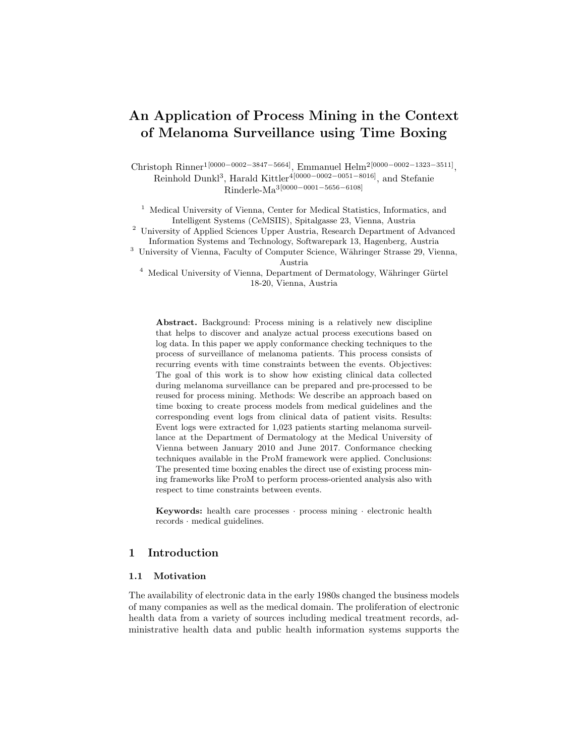# An Application of Process Mining in the Context of Melanoma Surveillance using Time Boxing

Christoph Rinner<sup>1[0000–0002–3847–5664]</sup>, Emmanuel Helm<sup>2</sup><sup>[0000–0002–1323–3511]</sup>, Reinhold Dunkl<sup>3</sup>, Harald Kittler<sup>4[0000–0002–0051–8016]</sup>, and Stefanie Rinderle-Ma3[0000−0001−5656−6108]

<sup>1</sup> Medical University of Vienna, Center for Medical Statistics, Informatics, and Intelligent Systems (CeMSIIS), Spitalgasse 23, Vienna, Austria

<sup>2</sup> University of Applied Sciences Upper Austria, Research Department of Advanced Information Systems and Technology, Softwarepark 13, Hagenberg, Austria

<sup>3</sup> University of Vienna, Faculty of Computer Science, Währinger Strasse 29, Vienna, Austria

 $^4\,$  Medical University of Vienna, Department of Dermatology, Währinger Gürtel 18-20, Vienna, Austria

Abstract. Background: Process mining is a relatively new discipline that helps to discover and analyze actual process executions based on log data. In this paper we apply conformance checking techniques to the process of surveillance of melanoma patients. This process consists of recurring events with time constraints between the events. Objectives: The goal of this work is to show how existing clinical data collected during melanoma surveillance can be prepared and pre-processed to be reused for process mining. Methods: We describe an approach based on time boxing to create process models from medical guidelines and the corresponding event logs from clinical data of patient visits. Results: Event logs were extracted for 1,023 patients starting melanoma surveillance at the Department of Dermatology at the Medical University of Vienna between January 2010 and June 2017. Conformance checking techniques available in the ProM framework were applied. Conclusions: The presented time boxing enables the direct use of existing process mining frameworks like ProM to perform process-oriented analysis also with respect to time constraints between events.

Keywords: health care processes · process mining · electronic health records · medical guidelines.

# 1 Introduction

## 1.1 Motivation

The availability of electronic data in the early 1980s changed the business models of many companies as well as the medical domain. The proliferation of electronic health data from a variety of sources including medical treatment records, administrative health data and public health information systems supports the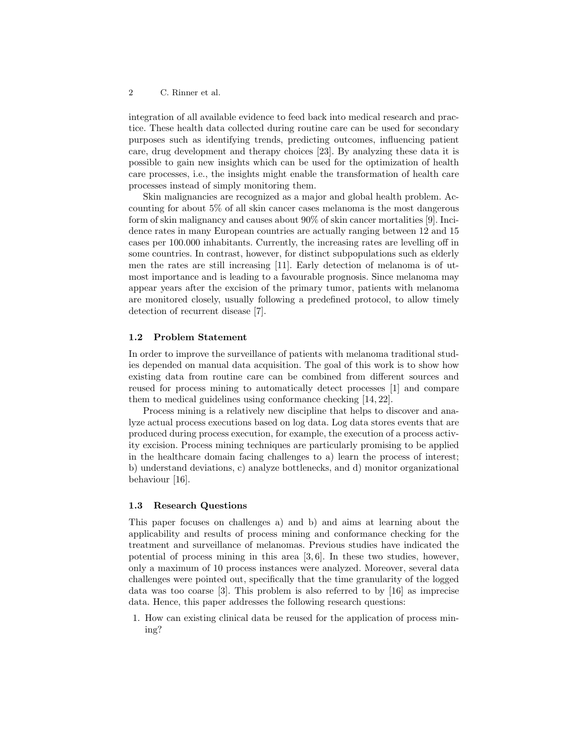integration of all available evidence to feed back into medical research and practice. These health data collected during routine care can be used for secondary purposes such as identifying trends, predicting outcomes, influencing patient care, drug development and therapy choices [23]. By analyzing these data it is possible to gain new insights which can be used for the optimization of health care processes, i.e., the insights might enable the transformation of health care processes instead of simply monitoring them.

Skin malignancies are recognized as a major and global health problem. Accounting for about 5% of all skin cancer cases melanoma is the most dangerous form of skin malignancy and causes about 90% of skin cancer mortalities [9]. Incidence rates in many European countries are actually ranging between 12 and 15 cases per 100.000 inhabitants. Currently, the increasing rates are levelling off in some countries. In contrast, however, for distinct subpopulations such as elderly men the rates are still increasing [11]. Early detection of melanoma is of utmost importance and is leading to a favourable prognosis. Since melanoma may appear years after the excision of the primary tumor, patients with melanoma are monitored closely, usually following a predefined protocol, to allow timely detection of recurrent disease [7].

#### 1.2 Problem Statement

In order to improve the surveillance of patients with melanoma traditional studies depended on manual data acquisition. The goal of this work is to show how existing data from routine care can be combined from different sources and reused for process mining to automatically detect processes [1] and compare them to medical guidelines using conformance checking [14, 22].

Process mining is a relatively new discipline that helps to discover and analyze actual process executions based on log data. Log data stores events that are produced during process execution, for example, the execution of a process activity excision. Process mining techniques are particularly promising to be applied in the healthcare domain facing challenges to a) learn the process of interest; b) understand deviations, c) analyze bottlenecks, and d) monitor organizational behaviour [16].

#### 1.3 Research Questions

This paper focuses on challenges a) and b) and aims at learning about the applicability and results of process mining and conformance checking for the treatment and surveillance of melanomas. Previous studies have indicated the potential of process mining in this area [3, 6]. In these two studies, however, only a maximum of 10 process instances were analyzed. Moreover, several data challenges were pointed out, specifically that the time granularity of the logged data was too coarse [3]. This problem is also referred to by [16] as imprecise data. Hence, this paper addresses the following research questions:

1. How can existing clinical data be reused for the application of process mining?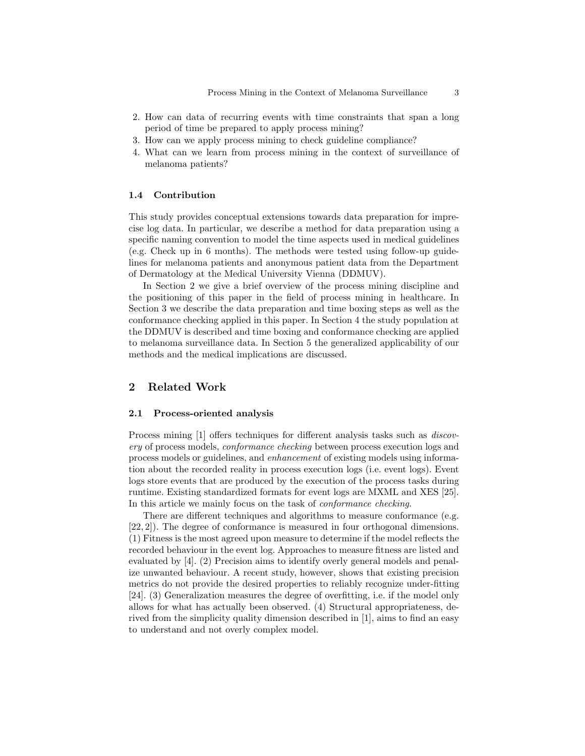- 2. How can data of recurring events with time constraints that span a long period of time be prepared to apply process mining?
- 3. How can we apply process mining to check guideline compliance?
- 4. What can we learn from process mining in the context of surveillance of melanoma patients?

## 1.4 Contribution

This study provides conceptual extensions towards data preparation for imprecise log data. In particular, we describe a method for data preparation using a specific naming convention to model the time aspects used in medical guidelines (e.g. Check up in 6 months). The methods were tested using follow-up guidelines for melanoma patients and anonymous patient data from the Department of Dermatology at the Medical University Vienna (DDMUV).

In Section 2 we give a brief overview of the process mining discipline and the positioning of this paper in the field of process mining in healthcare. In Section 3 we describe the data preparation and time boxing steps as well as the conformance checking applied in this paper. In Section 4 the study population at the DDMUV is described and time boxing and conformance checking are applied to melanoma surveillance data. In Section 5 the generalized applicability of our methods and the medical implications are discussed.

# 2 Related Work

#### 2.1 Process-oriented analysis

Process mining [1] offers techniques for different analysis tasks such as *discov*ery of process models, conformance checking between process execution logs and process models or guidelines, and enhancement of existing models using information about the recorded reality in process execution logs (i.e. event logs). Event logs store events that are produced by the execution of the process tasks during runtime. Existing standardized formats for event logs are MXML and XES [25]. In this article we mainly focus on the task of *conformance checking*.

There are different techniques and algorithms to measure conformance (e.g. [22, 2]). The degree of conformance is measured in four orthogonal dimensions. (1) Fitness is the most agreed upon measure to determine if the model reflects the recorded behaviour in the event log. Approaches to measure fitness are listed and evaluated by [4]. (2) Precision aims to identify overly general models and penalize unwanted behaviour. A recent study, however, shows that existing precision metrics do not provide the desired properties to reliably recognize under-fitting [24]. (3) Generalization measures the degree of overfitting, i.e. if the model only allows for what has actually been observed. (4) Structural appropriateness, derived from the simplicity quality dimension described in [1], aims to find an easy to understand and not overly complex model.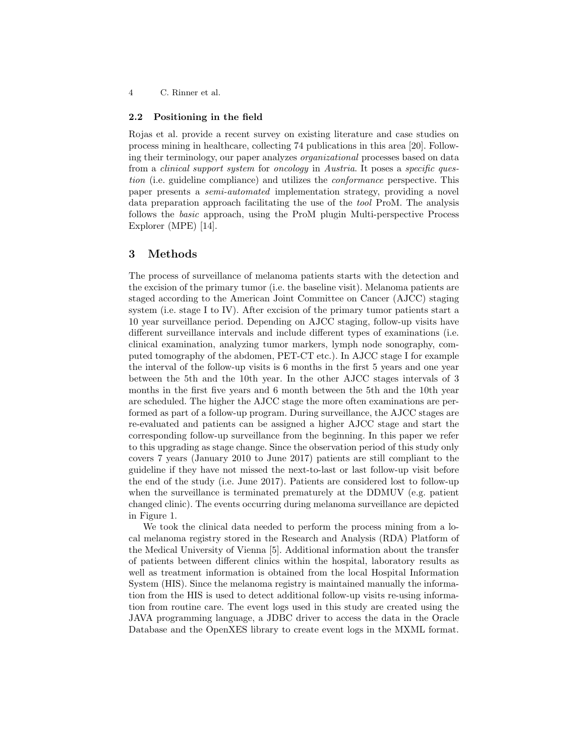#### 2.2 Positioning in the field

Rojas et al. provide a recent survey on existing literature and case studies on process mining in healthcare, collecting 74 publications in this area [20]. Following their terminology, our paper analyzes organizational processes based on data from a clinical support system for oncology in Austria. It poses a specific question (i.e. guideline compliance) and utilizes the conformance perspective. This paper presents a semi-automated implementation strategy, providing a novel data preparation approach facilitating the use of the tool ProM. The analysis follows the basic approach, using the ProM plugin Multi-perspective Process Explorer (MPE) [14].

## 3 Methods

The process of surveillance of melanoma patients starts with the detection and the excision of the primary tumor (i.e. the baseline visit). Melanoma patients are staged according to the American Joint Committee on Cancer (AJCC) staging system (i.e. stage I to IV). After excision of the primary tumor patients start a 10 year surveillance period. Depending on AJCC staging, follow-up visits have different surveillance intervals and include different types of examinations (i.e. clinical examination, analyzing tumor markers, lymph node sonography, computed tomography of the abdomen, PET-CT etc.). In AJCC stage I for example the interval of the follow-up visits is 6 months in the first 5 years and one year between the 5th and the 10th year. In the other AJCC stages intervals of 3 months in the first five years and 6 month between the 5th and the 10th year are scheduled. The higher the AJCC stage the more often examinations are performed as part of a follow-up program. During surveillance, the AJCC stages are re-evaluated and patients can be assigned a higher AJCC stage and start the corresponding follow-up surveillance from the beginning. In this paper we refer to this upgrading as stage change. Since the observation period of this study only covers 7 years (January 2010 to June 2017) patients are still compliant to the guideline if they have not missed the next-to-last or last follow-up visit before the end of the study (i.e. June 2017). Patients are considered lost to follow-up when the surveillance is terminated prematurely at the DDMUV (e.g. patient changed clinic). The events occurring during melanoma surveillance are depicted in Figure 1.

We took the clinical data needed to perform the process mining from a local melanoma registry stored in the Research and Analysis (RDA) Platform of the Medical University of Vienna [5]. Additional information about the transfer of patients between different clinics within the hospital, laboratory results as well as treatment information is obtained from the local Hospital Information System (HIS). Since the melanoma registry is maintained manually the information from the HIS is used to detect additional follow-up visits re-using information from routine care. The event logs used in this study are created using the JAVA programming language, a JDBC driver to access the data in the Oracle Database and the OpenXES library to create event logs in the MXML format.

<sup>4</sup> C. Rinner et al.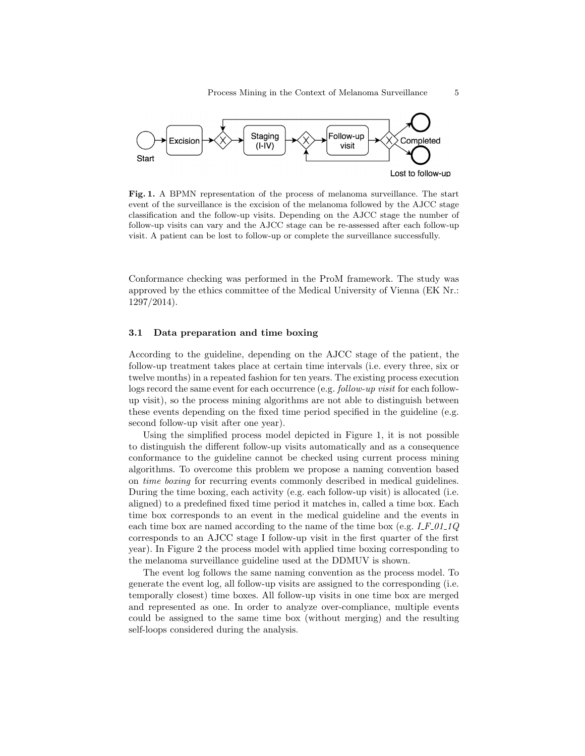

Fig. 1. A BPMN representation of the process of melanoma surveillance. The start event of the surveillance is the excision of the melanoma followed by the AJCC stage classification and the follow-up visits. Depending on the AJCC stage the number of follow-up visits can vary and the AJCC stage can be re-assessed after each follow-up visit. A patient can be lost to follow-up or complete the surveillance successfully.

Conformance checking was performed in the ProM framework. The study was approved by the ethics committee of the Medical University of Vienna (EK Nr.: 1297/2014).

#### 3.1 Data preparation and time boxing

According to the guideline, depending on the AJCC stage of the patient, the follow-up treatment takes place at certain time intervals (i.e. every three, six or twelve months) in a repeated fashion for ten years. The existing process execution logs record the same event for each occurrence (e.g. follow-up visit for each followup visit), so the process mining algorithms are not able to distinguish between these events depending on the fixed time period specified in the guideline (e.g. second follow-up visit after one year).

Using the simplified process model depicted in Figure 1, it is not possible to distinguish the different follow-up visits automatically and as a consequence conformance to the guideline cannot be checked using current process mining algorithms. To overcome this problem we propose a naming convention based on time boxing for recurring events commonly described in medical guidelines. During the time boxing, each activity (e.g. each follow-up visit) is allocated (i.e. aligned) to a predefined fixed time period it matches in, called a time box. Each time box corresponds to an event in the medical guideline and the events in each time box are named according to the name of the time box (e.g.  $I.F_01_11_2$ ) corresponds to an AJCC stage I follow-up visit in the first quarter of the first year). In Figure 2 the process model with applied time boxing corresponding to the melanoma surveillance guideline used at the DDMUV is shown.

The event log follows the same naming convention as the process model. To generate the event log, all follow-up visits are assigned to the corresponding (i.e. temporally closest) time boxes. All follow-up visits in one time box are merged and represented as one. In order to analyze over-compliance, multiple events could be assigned to the same time box (without merging) and the resulting self-loops considered during the analysis.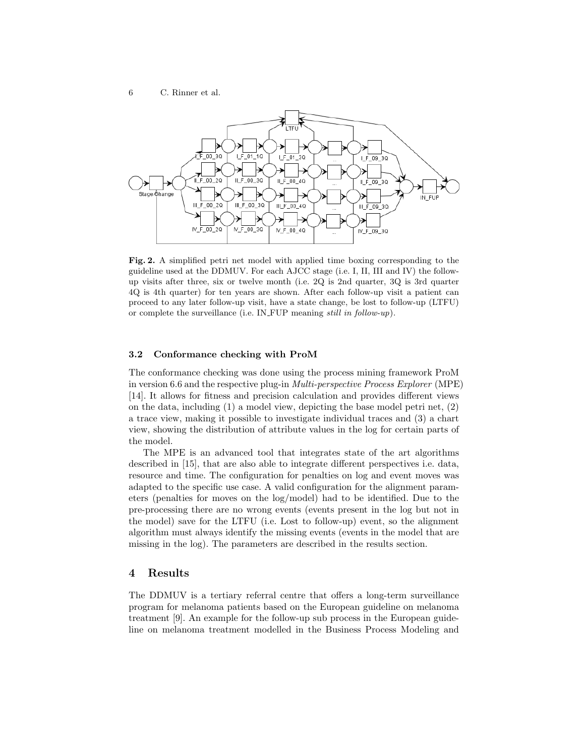

Fig. 2. A simplified petri net model with applied time boxing corresponding to the guideline used at the DDMUV. For each AJCC stage (i.e. I, II, III and IV) the followup visits after three, six or twelve month (i.e. 2Q is 2nd quarter, 3Q is 3rd quarter 4Q is 4th quarter) for ten years are shown. After each follow-up visit a patient can proceed to any later follow-up visit, have a state change, be lost to follow-up (LTFU) or complete the surveillance (i.e. IN FUP meaning still in follow-up).

#### 3.2 Conformance checking with ProM

The conformance checking was done using the process mining framework ProM in version 6.6 and the respective plug-in Multi-perspective Process Explorer (MPE) [14]. It allows for fitness and precision calculation and provides different views on the data, including (1) a model view, depicting the base model petri net, (2) a trace view, making it possible to investigate individual traces and (3) a chart view, showing the distribution of attribute values in the log for certain parts of the model.

The MPE is an advanced tool that integrates state of the art algorithms described in [15], that are also able to integrate different perspectives i.e. data, resource and time. The configuration for penalties on log and event moves was adapted to the specific use case. A valid configuration for the alignment parameters (penalties for moves on the log/model) had to be identified. Due to the pre-processing there are no wrong events (events present in the log but not in the model) save for the LTFU (i.e. Lost to follow-up) event, so the alignment algorithm must always identify the missing events (events in the model that are missing in the log). The parameters are described in the results section.

# 4 Results

The DDMUV is a tertiary referral centre that offers a long-term surveillance program for melanoma patients based on the European guideline on melanoma treatment [9]. An example for the follow-up sub process in the European guideline on melanoma treatment modelled in the Business Process Modeling and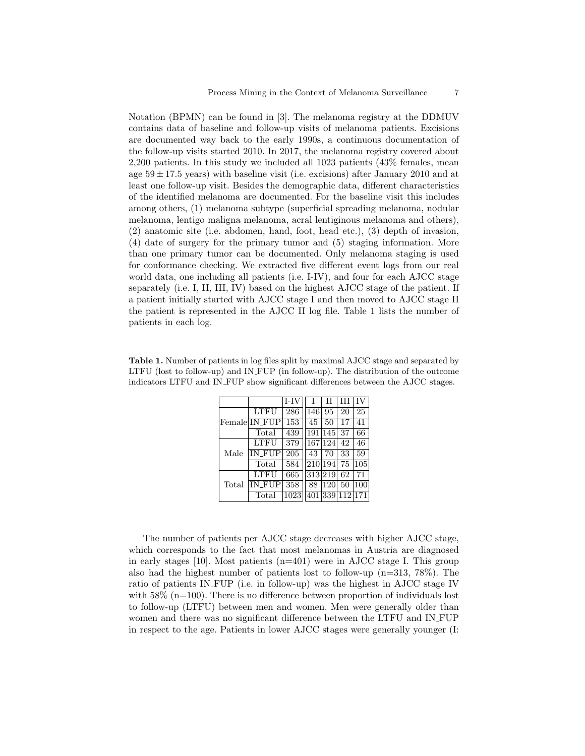Notation (BPMN) can be found in [3]. The melanoma registry at the DDMUV contains data of baseline and follow-up visits of melanoma patients. Excisions are documented way back to the early 1990s, a continuous documentation of the follow-up visits started 2010. In 2017, the melanoma registry covered about 2,200 patients. In this study we included all 1023 patients (43% females, mean age  $59 \pm 17.5$  years) with baseline visit (i.e. excisions) after January 2010 and at least one follow-up visit. Besides the demographic data, different characteristics of the identified melanoma are documented. For the baseline visit this includes among others, (1) melanoma subtype (superficial spreading melanoma, nodular melanoma, lentigo maligna melanoma, acral lentiginous melanoma and others), (2) anatomic site (i.e. abdomen, hand, foot, head etc.), (3) depth of invasion, (4) date of surgery for the primary tumor and (5) staging information. More than one primary tumor can be documented. Only melanoma staging is used for conformance checking. We extracted five different event logs from our real world data, one including all patients (i.e. I-IV), and four for each AJCC stage separately (i.e. I, II, III, IV) based on the highest AJCC stage of the patient. If a patient initially started with AJCC stage I and then moved to AJCC stage II the patient is represented in the AJCC II log file. Table 1 lists the number of patients in each log.

Table 1. Number of patients in log files split by maximal AJCC stage and separated by LTFU (lost to follow-up) and IN FUP (in follow-up). The distribution of the outcome indicators LTFU and IN FUP show significant differences between the AJCC stages.

|       |               | $I-IV$            |         |         |             | ΙV  |
|-------|---------------|-------------------|---------|---------|-------------|-----|
|       | <b>LTFU</b>   | 286               | 146     | 95      | 20          | 25  |
|       | Female IN_FUP | 153               | 45      | 50      | 17          | 41  |
|       | Total         | 439               | 191     | 145     | 37          | 66  |
| Male  | <b>LTFU</b>   | 379               | 167     | 124     | 42          | 46  |
|       | IN FUP        | 205               | 43      | 70      | 33          | 59  |
|       | Total         | 584               |         | 210 194 | 75          | 105 |
| Total | LTFU          | 665               | 313 219 |         | 62          | 71  |
|       | <b>IN_FUP</b> | 358               | 88      | 120     | 50          | 100 |
|       | Total         | $\overline{1}023$ | 401     |         | 339 112 171 |     |

The number of patients per AJCC stage decreases with higher AJCC stage, which corresponds to the fact that most melanomas in Austria are diagnosed in early stages [10]. Most patients (n=401) were in AJCC stage I. This group also had the highest number of patients lost to follow-up (n=313, 78%). The ratio of patients IN FUP (i.e. in follow-up) was the highest in AJCC stage IV with  $58\%$  (n=100). There is no difference between proportion of individuals lost to follow-up (LTFU) between men and women. Men were generally older than women and there was no significant difference between the LTFU and IN FUP in respect to the age. Patients in lower AJCC stages were generally younger (I: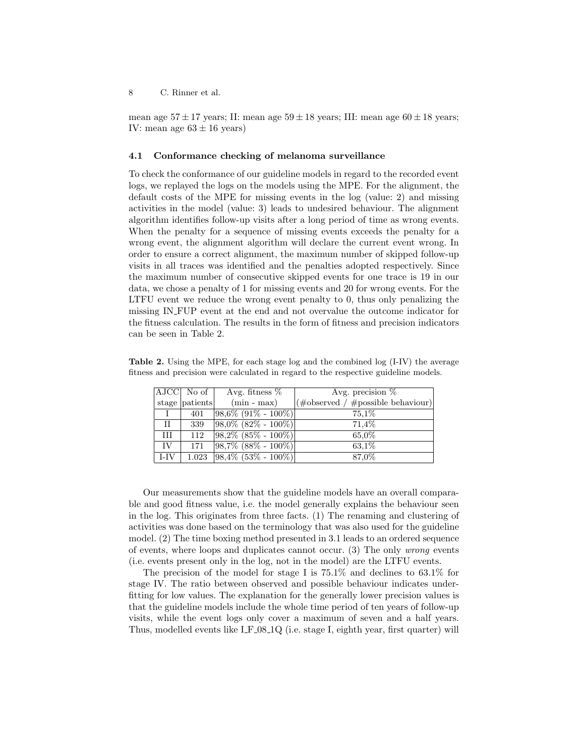mean age  $57 \pm 17$  years; II: mean age  $59 \pm 18$  years; III: mean age  $60 \pm 18$  years; IV: mean age  $63 \pm 16$  years)

#### 4.1 Conformance checking of melanoma surveillance

To check the conformance of our guideline models in regard to the recorded event logs, we replayed the logs on the models using the MPE. For the alignment, the default costs of the MPE for missing events in the log (value: 2) and missing activities in the model (value: 3) leads to undesired behaviour. The alignment algorithm identifies follow-up visits after a long period of time as wrong events. When the penalty for a sequence of missing events exceeds the penalty for a wrong event, the alignment algorithm will declare the current event wrong. In order to ensure a correct alignment, the maximum number of skipped follow-up visits in all traces was identified and the penalties adopted respectively. Since the maximum number of consecutive skipped events for one trace is 19 in our data, we chose a penalty of 1 for missing events and 20 for wrong events. For the LTFU event we reduce the wrong event penalty to 0, thus only penalizing the missing IN FUP event at the end and not overvalue the outcome indicator for the fitness calculation. The results in the form of fitness and precision indicators can be seen in Table 2.

|           | AJCC No of     | Avg. fitness $%$                         | Avg. precision $%$                                |  |  |
|-----------|----------------|------------------------------------------|---------------------------------------------------|--|--|
|           | stage patients | $(min - max)$                            | $(\text{\#observed}/\text{ #possible behaviour})$ |  |  |
|           | 401            | $ 98,6\% (91\% - 100\%) $                | 75.1\%                                            |  |  |
| H         | 339            | $ 98,0\%$ $(82\% - 100\%) $              | 71.4%                                             |  |  |
| Ш         | 112            | $ 98,2\%$ (85\% - 100\%)                 | 65,0%                                             |  |  |
| <b>IV</b> | 171            | $\left  98,7\% \ (88\% - 100\%) \right $ | 63.1\%                                            |  |  |
| I-IV      | 1.023          | $ 98,4\% (53\% - 100\%) $                | 87,0%                                             |  |  |

Table 2. Using the MPE, for each stage log and the combined log (I-IV) the average fitness and precision were calculated in regard to the respective guideline models.

Our measurements show that the guideline models have an overall comparable and good fitness value, i.e. the model generally explains the behaviour seen in the log. This originates from three facts. (1) The renaming and clustering of activities was done based on the terminology that was also used for the guideline model. (2) The time boxing method presented in 3.1 leads to an ordered sequence of events, where loops and duplicates cannot occur. (3) The only wrong events (i.e. events present only in the log, not in the model) are the LTFU events.

The precision of the model for stage I is 75.1% and declines to 63.1% for stage IV. The ratio between observed and possible behaviour indicates underfitting for low values. The explanation for the generally lower precision values is that the guideline models include the whole time period of ten years of follow-up visits, while the event logs only cover a maximum of seven and a half years. Thus, modelled events like LF\_08\_1Q (i.e. stage I, eighth year, first quarter) will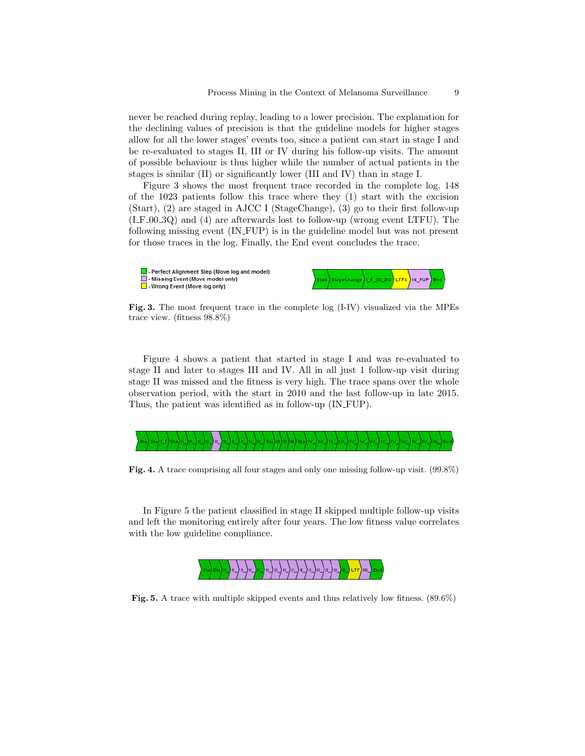never be reached during replay, leading to a lower precision. The explanation for the declining values of precision is that the guideline models for higher stages allow for all the lower stages' events too, since a patient can start in stage I and be re-evaluated to stages II, III or IV during his follow-up visits. The amount of possible behaviour is thus higher while the number of actual patients in the stages is similar (II) or significantly lower (III and IV) than in stage I.

Figure 3 shows the most frequent trace recorded in the complete log. 148 of the 1023 patients follow this trace where they (1) start with the excision (Start), (2) are staged in AJCC I (StageChange), (3) go to their first follow-up  $(IF_00_3Q)$  and  $(4)$  are afterwards lost to follow-up (wrong event LTFU). The following missing event (IN FUP) is in the guideline model but was not present for those traces in the log. Finally, the End event concludes the trace.





Fig. 3. The most frequent trace in the complete log (I-IV) visualized via the MPEs trace view. (fitness 98.8%)

Figure 4 shows a patient that started in stage I and was re-evaluated to stage II and later to stages III and IV. All in all just 1 follow-up visit during stage II was missed and the fitness is very high. The trace spans over the whole observation period, with the start in 2010 and the last follow-up in late 2015. Thus, the patient was identified as in follow-up (IN FUP).



Fig. 4. A trace comprising all four stages and only one missing follow-up visit. (99.8%)

In Figure 5 the patient classified in stage II skipped multiple follow-up visits and left the monitoring entirely after four years. The low fitness value correlates with the low guideline compliance.



Fig. 5. A trace with multiple skipped events and thus relatively low fitness. (89.6%)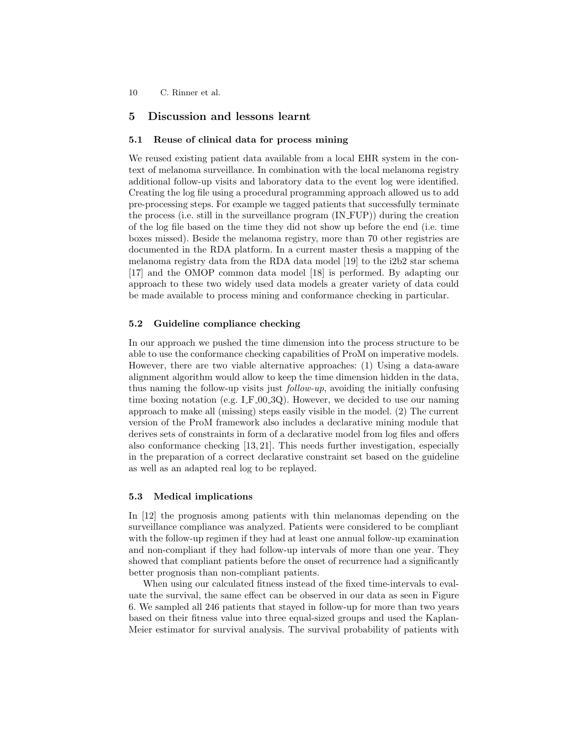# 5 Discussion and lessons learnt

## 5.1 Reuse of clinical data for process mining

We reused existing patient data available from a local EHR system in the context of melanoma surveillance. In combination with the local melanoma registry additional follow-up visits and laboratory data to the event log were identified. Creating the log file using a procedural programming approach allowed us to add pre-processing steps. For example we tagged patients that successfully terminate the process (i.e. still in the surveillance program (IN FUP)) during the creation of the log file based on the time they did not show up before the end (i.e. time boxes missed). Beside the melanoma registry, more than 70 other registries are documented in the RDA platform. In a current master thesis a mapping of the melanoma registry data from the RDA data model [19] to the i2b2 star schema [17] and the OMOP common data model [18] is performed. By adapting our approach to these two widely used data models a greater variety of data could be made available to process mining and conformance checking in particular.

#### 5.2 Guideline compliance checking

In our approach we pushed the time dimension into the process structure to be able to use the conformance checking capabilities of ProM on imperative models. However, there are two viable alternative approaches: (1) Using a data-aware alignment algorithm would allow to keep the time dimension hidden in the data, thus naming the follow-up visits just follow-up, avoiding the initially confusing time boxing notation (e.g.  $I.F_00.3Q$ ). However, we decided to use our naming approach to make all (missing) steps easily visible in the model. (2) The current version of the ProM framework also includes a declarative mining module that derives sets of constraints in form of a declarative model from log files and offers also conformance checking [13, 21]. This needs further investigation, especially in the preparation of a correct declarative constraint set based on the guideline as well as an adapted real log to be replayed.

#### 5.3 Medical implications

In [12] the prognosis among patients with thin melanomas depending on the surveillance compliance was analyzed. Patients were considered to be compliant with the follow-up regimen if they had at least one annual follow-up examination and non-compliant if they had follow-up intervals of more than one year. They showed that compliant patients before the onset of recurrence had a significantly better prognosis than non-compliant patients.

When using our calculated fitness instead of the fixed time-intervals to evaluate the survival, the same effect can be observed in our data as seen in Figure 6. We sampled all 246 patients that stayed in follow-up for more than two years based on their fitness value into three equal-sized groups and used the Kaplan-Meier estimator for survival analysis. The survival probability of patients with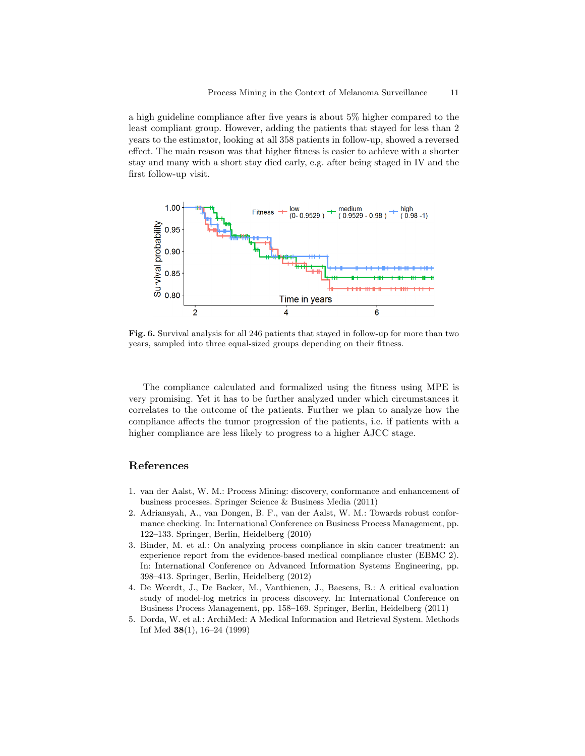a high guideline compliance after five years is about 5% higher compared to the least compliant group. However, adding the patients that stayed for less than 2 years to the estimator, looking at all 358 patients in follow-up, showed a reversed effect. The main reason was that higher fitness is easier to achieve with a shorter stay and many with a short stay died early, e.g. after being staged in IV and the first follow-up visit.



Fig. 6. Survival analysis for all 246 patients that stayed in follow-up for more than two years, sampled into three equal-sized groups depending on their fitness.

The compliance calculated and formalized using the fitness using MPE is very promising. Yet it has to be further analyzed under which circumstances it correlates to the outcome of the patients. Further we plan to analyze how the compliance affects the tumor progression of the patients, i.e. if patients with a higher compliance are less likely to progress to a higher AJCC stage.

# References

- 1. van der Aalst, W. M.: Process Mining: discovery, conformance and enhancement of business processes. Springer Science & Business Media (2011)
- 2. Adriansyah, A., van Dongen, B. F., van der Aalst, W. M.: Towards robust conformance checking. In: International Conference on Business Process Management, pp. 122–133. Springer, Berlin, Heidelberg (2010)
- 3. Binder, M. et al.: On analyzing process compliance in skin cancer treatment: an experience report from the evidence-based medical compliance cluster (EBMC 2). In: International Conference on Advanced Information Systems Engineering, pp. 398–413. Springer, Berlin, Heidelberg (2012)
- 4. De Weerdt, J., De Backer, M., Vanthienen, J., Baesens, B.: A critical evaluation study of model-log metrics in process discovery. In: International Conference on Business Process Management, pp. 158–169. Springer, Berlin, Heidelberg (2011)
- 5. Dorda, W. et al.: ArchiMed: A Medical Information and Retrieval System. Methods Inf Med 38(1), 16–24 (1999)